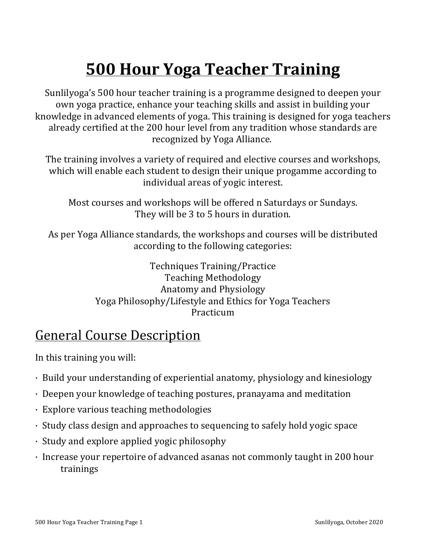# **500 Hour Yoga Teacher Training**

Sunlilyoga's 500 hour teacher training is a programme designed to deepen your own yoga practice, enhance your teaching skills and assist in building your knowledge in advanced elements of yoga. This training is designed for yoga teachers already certified at the 200 hour level from any tradition whose standards are recognized by Yoga Alliance.

The training involves a variety of required and elective courses and workshops, which will enable each student to design their unique progamme according to individual areas of yogic interest.

Most courses and workshops will be offered n Saturdays or Sundays. They will be 3 to 5 hours in duration.

As per Yoga Alliance standards, the workshops and courses will be distributed according to the following categories:

> Techniques Training/Practice Teaching Methodology Anatomy and Physiology Yoga Philosophy/Lifestyle and Ethics for Yoga Teachers Practicum

#### **General Course Description**

In this training you will:

- $\cdot$  Build your understanding of experiential anatomy, physiology and kinesiology
- $\cdot$  Deepen your knowledge of teaching postures, pranayama and meditation
- $\cdot$  Explore various teaching methodologies
- $\cdot$  Study class design and approaches to sequencing to safely hold yogic space
- $\cdot$  Study and explore applied yogic philosophy
- Increase your repertoire of advanced asanas not commonly taught in 200 hour trainings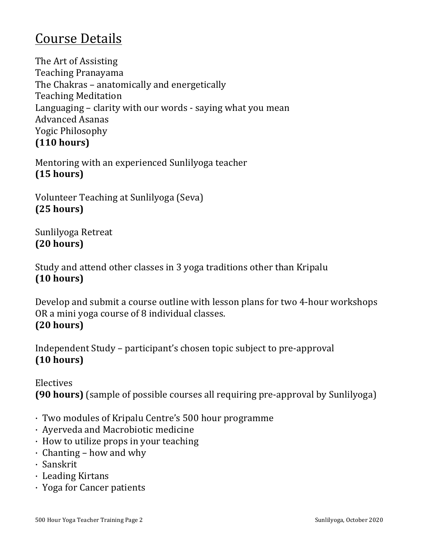#### Course Details

The Art of Assisting Teaching Pranayama The Chakras - anatomically and energetically Teaching Meditation Languaging  $-$  clarity with our words  $-$  saying what you mean Advanced Asanas Yogic Philosophy **(110 hours)**

Mentoring with an experienced Sunlilyoga teacher **(15 hours)**

Volunteer Teaching at Sunlilyoga (Seva) **(25 hours)**

Sunlilyoga Retreat **(20 hours)**

Study and attend other classes in 3 yoga traditions other than Kripalu **(10 hours)**

Develop and submit a course outline with lesson plans for two 4-hour workshops OR a mini yoga course of 8 individual classes. **(20 hours)**

Independent Study – participant's chosen topic subject to pre-approval **(10 hours)**

Electives **(90 hours)** (sample of possible courses all requiring pre-approval by Sunlilyoga)

- · Two modules of Kripalu Centre's 500 hour programme
- · Ayerveda and Macrobiotic medicine
- $\cdot$  How to utilize props in your teaching
- $\cdot$  Chanting how and why
- · Sanskrit
- · Leading Kirtans
- · Yoga for Cancer patients